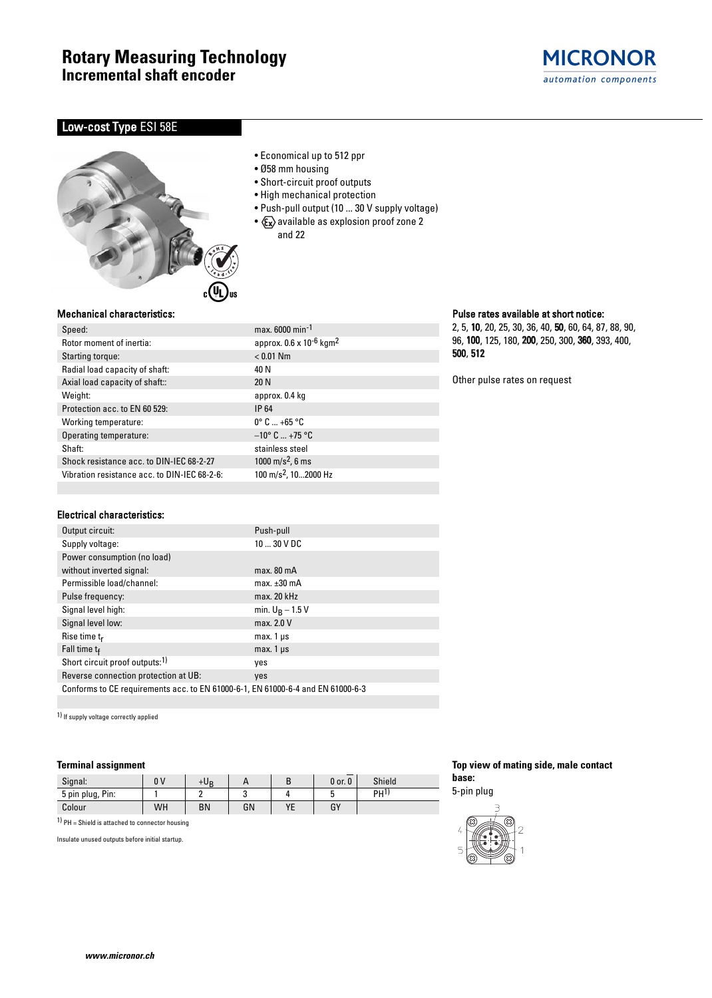

# Low-cost Type ESI 58E



- Economical up to 512 ppr
- Ø58 mm housing
- Short-circuit proof outputs
- High mechanical protection
- Push-pull output (10 ... 30 V supply voltage)
- $x \rightarrow \infty$  available as explosion proof zone 2
	- and 22



# Speed: max. 6000 min-1 Rotor moment of inertia: approx. 0.6 x 10<sup>-6</sup> kgm<sup>2</sup> Starting torque:  $< 0.01$  Nm Radial load capacity of shaft: 40 N Axial load capacity of shaft:: 20 N Weight: approx. 0.4 kg Protection acc. to EN 60 529: IP 64 Working temperature: 0° C ... +65 °C Operating temperature:  $-10^{\circ}$  C ... +75 °C Shaft: stainless steel Shock resistance acc. to DIN-IEC 68-2-27 1000 m/s<sup>2</sup>, 6 ms Vibration resistance acc. to DIN-IEC 68-2-6:  $100 \text{ m/s}^2$ , 10...2000 Hz

## Pulse rates available at short notice:

2, 5, 10, 20, 25, 30, 36, 40, 50, 60, 64, 87, 88, 90, 96, 100, 125, 180, 200, 250, 300, 360, 393, 400, 500, 512

Other pulse rates on request

## Electrical characteristics:

| Output circuit:                                                                 | Push-pull          |  |  |  |
|---------------------------------------------------------------------------------|--------------------|--|--|--|
| Supply voltage:                                                                 | $1030$ V DC        |  |  |  |
| Power consumption (no load)                                                     |                    |  |  |  |
| without inverted signal:                                                        | max. 80 mA         |  |  |  |
| Permissible load/channel:                                                       | max. $\pm 30$ mA   |  |  |  |
| Pulse frequency:                                                                | max. 20 kHz        |  |  |  |
| Signal level high:                                                              | min. $U_R - 1.5 V$ |  |  |  |
| Signal level low:                                                               | max. 2.0 V         |  |  |  |
| Rise time $t_r$                                                                 | $max.1 \,\mu s$    |  |  |  |
| Fall time $t_f$                                                                 | $max. 1 \mu s$     |  |  |  |
| Short circuit proof outputs: <sup>1)</sup>                                      | yes                |  |  |  |
| Reverse connection protection at UB:                                            | yes                |  |  |  |
| Conforms to CE requirements acc. to EN 61000-6-1, EN 61000-6-4 and EN 61000-6-3 |                    |  |  |  |
|                                                                                 |                    |  |  |  |

1) If supply voltage correctly applied

#### **Terminal assignment**

| Signal:          |    | +Up<br>D  | $\sqrt{}$ | ٠         | $0$ or. $0$ | Shield          |
|------------------|----|-----------|-----------|-----------|-------------|-----------------|
| 5 pin plug, Pin: |    |           |           |           |             | PH <sup>1</sup> |
| Colour           | WH | <b>BN</b> | GN        | $V\Gamma$ | GY          |                 |

1) PH = Shield is attached to connector housing

Insulate unused outputs before initial startup.

## **Top view of mating side, male contact base:**

5-pin plug